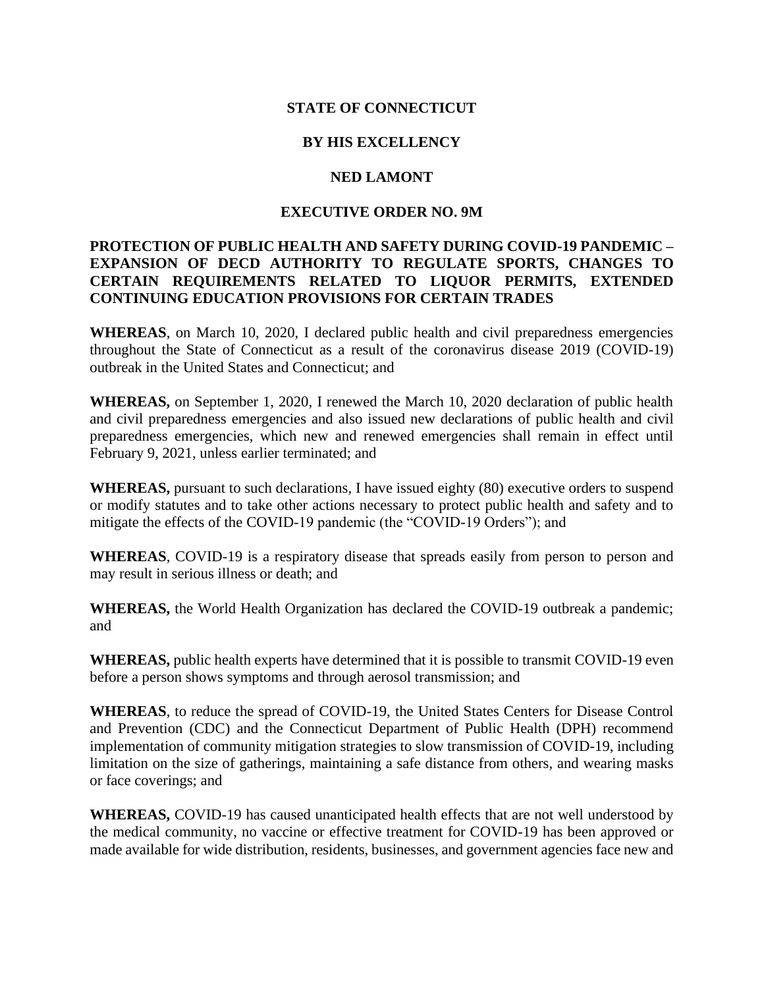# **STATE OF CONNECTICUT**

## **BY HIS EXCELLENCY**

#### **NED LAMONT**

## **EXECUTIVE ORDER NO. 9M**

# **PROTECTION OF PUBLIC HEALTH AND SAFETY DURING COVID-19 PANDEMIC – EXPANSION OF DECD AUTHORITY TO REGULATE SPORTS, CHANGES TO CERTAIN REQUIREMENTS RELATED TO LIQUOR PERMITS, EXTENDED CONTINUING EDUCATION PROVISIONS FOR CERTAIN TRADES**

**WHEREAS**, on March 10, 2020, I declared public health and civil preparedness emergencies throughout the State of Connecticut as a result of the coronavirus disease 2019 (COVID-19) outbreak in the United States and Connecticut; and

**WHEREAS,** on September 1, 2020, I renewed the March 10, 2020 declaration of public health and civil preparedness emergencies and also issued new declarations of public health and civil preparedness emergencies, which new and renewed emergencies shall remain in effect until February 9, 2021, unless earlier terminated; and

**WHEREAS,** pursuant to such declarations, I have issued eighty (80) executive orders to suspend or modify statutes and to take other actions necessary to protect public health and safety and to mitigate the effects of the COVID-19 pandemic (the "COVID-19 Orders"); and

**WHEREAS**, COVID-19 is a respiratory disease that spreads easily from person to person and may result in serious illness or death; and

**WHEREAS,** the World Health Organization has declared the COVID-19 outbreak a pandemic; and

**WHEREAS,** public health experts have determined that it is possible to transmit COVID-19 even before a person shows symptoms and through aerosol transmission; and

**WHEREAS**, to reduce the spread of COVID-19, the United States Centers for Disease Control and Prevention (CDC) and the Connecticut Department of Public Health (DPH) recommend implementation of community mitigation strategies to slow transmission of COVID-19, including limitation on the size of gatherings, maintaining a safe distance from others, and wearing masks or face coverings; and

**WHEREAS,** COVID-19 has caused unanticipated health effects that are not well understood by the medical community, no vaccine or effective treatment for COVID-19 has been approved or made available for wide distribution, residents, businesses, and government agencies face new and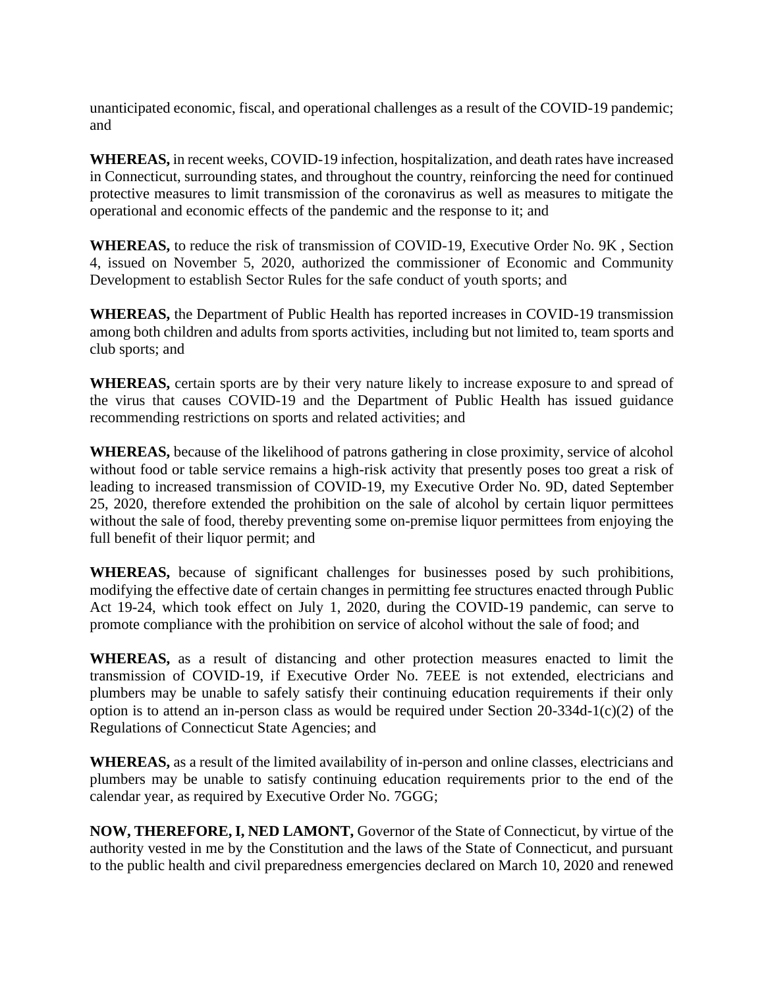unanticipated economic, fiscal, and operational challenges as a result of the COVID-19 pandemic; and

**WHEREAS,** in recent weeks, COVID-19 infection, hospitalization, and death rates have increased in Connecticut, surrounding states, and throughout the country, reinforcing the need for continued protective measures to limit transmission of the coronavirus as well as measures to mitigate the operational and economic effects of the pandemic and the response to it; and

**WHEREAS,** to reduce the risk of transmission of COVID-19, Executive Order No. 9K , Section 4, issued on November 5, 2020, authorized the commissioner of Economic and Community Development to establish Sector Rules for the safe conduct of youth sports; and

**WHEREAS,** the Department of Public Health has reported increases in COVID-19 transmission among both children and adults from sports activities, including but not limited to, team sports and club sports; and

**WHEREAS,** certain sports are by their very nature likely to increase exposure to and spread of the virus that causes COVID-19 and the Department of Public Health has issued guidance recommending restrictions on sports and related activities; and

**WHEREAS,** because of the likelihood of patrons gathering in close proximity, service of alcohol without food or table service remains a high-risk activity that presently poses too great a risk of leading to increased transmission of COVID-19, my Executive Order No. 9D, dated September 25, 2020, therefore extended the prohibition on the sale of alcohol by certain liquor permittees without the sale of food, thereby preventing some on-premise liquor permittees from enjoying the full benefit of their liquor permit; and

**WHEREAS,** because of significant challenges for businesses posed by such prohibitions, modifying the effective date of certain changes in permitting fee structures enacted through Public Act 19-24, which took effect on July 1, 2020, during the COVID-19 pandemic, can serve to promote compliance with the prohibition on service of alcohol without the sale of food; and

**WHEREAS,** as a result of distancing and other protection measures enacted to limit the transmission of COVID-19, if Executive Order No. 7EEE is not extended, electricians and plumbers may be unable to safely satisfy their continuing education requirements if their only option is to attend an in-person class as would be required under Section 20-334d-1(c)(2) of the Regulations of Connecticut State Agencies; and

**WHEREAS,** as a result of the limited availability of in-person and online classes, electricians and plumbers may be unable to satisfy continuing education requirements prior to the end of the calendar year, as required by Executive Order No. 7GGG;

**NOW, THEREFORE, I, NED LAMONT,** Governor of the State of Connecticut, by virtue of the authority vested in me by the Constitution and the laws of the State of Connecticut, and pursuant to the public health and civil preparedness emergencies declared on March 10, 2020 and renewed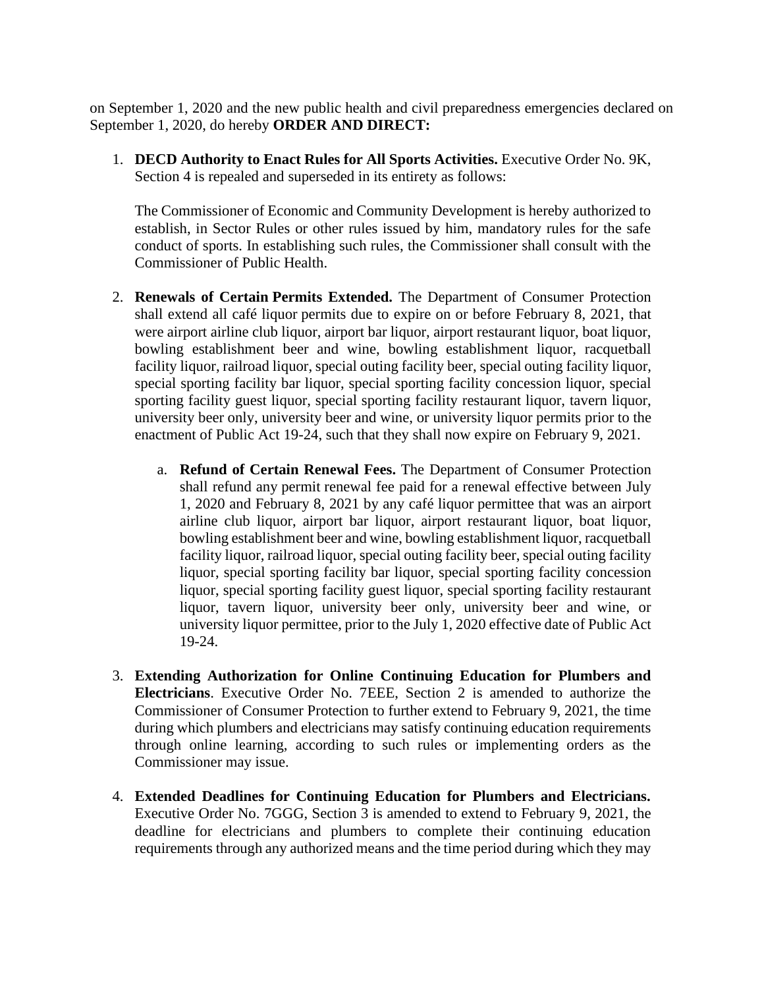on September 1, 2020 and the new public health and civil preparedness emergencies declared on September 1, 2020, do hereby **ORDER AND DIRECT:**

1. **DECD Authority to Enact Rules for All Sports Activities.** Executive Order No. 9K, Section 4 is repealed and superseded in its entirety as follows:

The Commissioner of Economic and Community Development is hereby authorized to establish, in Sector Rules or other rules issued by him, mandatory rules for the safe conduct of sports. In establishing such rules, the Commissioner shall consult with the Commissioner of Public Health.

- 2. **Renewals of Certain Permits Extended.** The Department of Consumer Protection shall extend all café liquor permits due to expire on or before February 8, 2021, that were airport airline club liquor, airport bar liquor, airport restaurant liquor, boat liquor, bowling establishment beer and wine, bowling establishment liquor, racquetball facility liquor, railroad liquor, special outing facility beer, special outing facility liquor, special sporting facility bar liquor, special sporting facility concession liquor, special sporting facility guest liquor, special sporting facility restaurant liquor, tavern liquor, university beer only, university beer and wine, or university liquor permits prior to the enactment of Public Act 19-24, such that they shall now expire on February 9, 2021.
	- a. **Refund of Certain Renewal Fees.** The Department of Consumer Protection shall refund any permit renewal fee paid for a renewal effective between July 1, 2020 and February 8, 2021 by any café liquor permittee that was an airport airline club liquor, airport bar liquor, airport restaurant liquor, boat liquor, bowling establishment beer and wine, bowling establishment liquor, racquetball facility liquor, railroad liquor, special outing facility beer, special outing facility liquor, special sporting facility bar liquor, special sporting facility concession liquor, special sporting facility guest liquor, special sporting facility restaurant liquor, tavern liquor, university beer only, university beer and wine, or university liquor permittee, prior to the July 1, 2020 effective date of Public Act 19-24.
- 3. **Extending Authorization for Online Continuing Education for Plumbers and Electricians**. Executive Order No. 7EEE, Section 2 is amended to authorize the Commissioner of Consumer Protection to further extend to February 9, 2021, the time during which plumbers and electricians may satisfy continuing education requirements through online learning, according to such rules or implementing orders as the Commissioner may issue.
- 4. **Extended Deadlines for Continuing Education for Plumbers and Electricians.** Executive Order No. 7GGG, Section 3 is amended to extend to February 9, 2021, the deadline for electricians and plumbers to complete their continuing education requirements through any authorized means and the time period during which they may